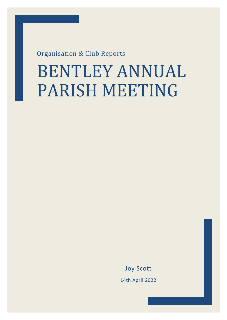Organisation & Club Reports

# BENTLEY ANNUAL PARISH MEETING

Joy Scott 14th April 2022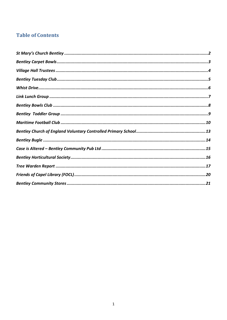# **Table of Contents**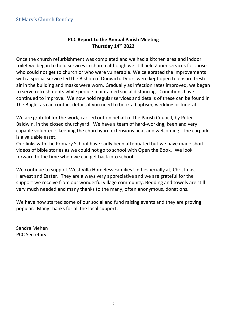#### <span id="page-2-0"></span>St Mary's Church Bentley

#### **PCC Report to the Annual Parish Meeting Thursday 14th 2022**

Once the church refurbishment was completed and we had a kitchen area and indoor toilet we began to hold services in church although we still held Zoom services for those who could not get to church or who were vulnerable. We celebrated the improvements with a special service led the Bishop of Dunwich. Doors were kept open to ensure fresh air in the building and masks were worn. Gradually as infection rates improved, we began to serve refreshments while people maintained social distancing. Conditions have continued to improve. We now hold regular services and details of these can be found in The Bugle, as can contact details if you need to book a baptism, wedding or funeral.

We are grateful for the work, carried out on behalf of the Parish Council, by Peter Baldwin, in the closed churchyard. We have a team of hard-working, keen and very capable volunteers keeping the churchyard extensions neat and welcoming. The carpark is a valuable asset.

Our links with the Primary School have sadly been attenuated but we have made short videos of bible stories as we could not go to school with Open the Book. We look forward to the time when we can get back into school.

We continue to support West Villa Homeless Families Unit especially at, Christmas, Harvest and Easter. They are always very appreciative and we are grateful for the support we receive from our wonderful village community. Bedding and towels are still very much needed and many thanks to the many, often anonymous, donations.

We have now started some of our social and fund raising events and they are proving popular. Many thanks for all the local support.

Sandra Mehen PCC Secretary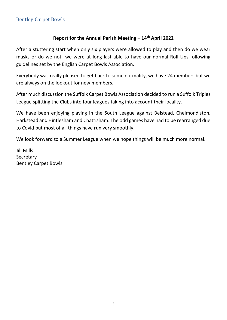# <span id="page-3-0"></span>Bentley Carpet Bowls

#### **Report for the Annual Parish Meeting – 14th April 2022**

After a stuttering start when only six players were allowed to play and then do we wear masks or do we not we were at long last able to have our normal Roll Ups following guidelines set by the English Carpet Bowls Association.

Everybody was really pleased to get back to some normality, we have 24 members but we are always on the lookout for new members.

After much discussion the Suffolk Carpet Bowls Association decided to run a Suffolk Triples League splitting the Clubs into four leagues taking into account their locality.

We have been enjoying playing in the South League against Belstead, Chelmondiston, Harkstead and Hintlesham and Chattisham. The odd games have had to be rearranged due to Covid but most of all things have run very smoothly.

We look forward to a Summer League when we hope things will be much more normal.

Jill Mills **Secretary** Bentley Carpet Bowls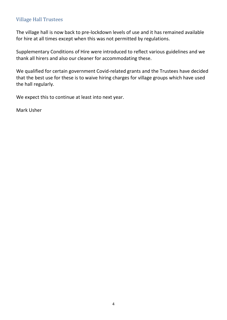#### <span id="page-4-0"></span>Village Hall Trustees

The village hall is now back to pre-lockdown levels of use and it has remained available for hire at all times except when this was not permitted by regulations.

Supplementary Conditions of Hire were introduced to reflect various guidelines and we thank all hirers and also our cleaner for accommodating these.

We qualified for certain government Covid-related grants and the Trustees have decided that the best use for these is to waive hiring charges for village groups which have used the hall regularly.

We expect this to continue at least into next year.

Mark Usher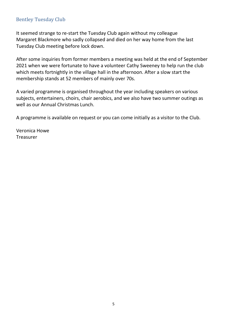# <span id="page-5-0"></span>Bentley Tuesday Club

It seemed strange to re-start the Tuesday Club again without my colleague Margaret Blackmore who sadly collapsed and died on her way home from the last Tuesday Club meeting before lock down.

After some inquiries from former members a meeting was held at the end of September 2021 when we were fortunate to have a volunteer Cathy Sweeney to help run the club which meets fortnightly in the village hall in the afternoon. After a slow start the membership stands at 52 members of mainly over 70s.

A varied programme is organised throughout the year including speakers on various subjects, entertainers, choirs, chair aerobics, and we also have two summer outings as well as our Annual Christmas Lunch.

A programme is available on request or you can come initially as a visitor to the Club.

Veronica Howe Treasurer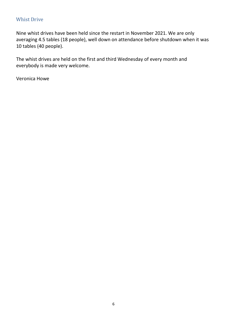#### <span id="page-6-0"></span>Whist Drive

Nine whist drives have been held since the restart in November 2021. We are only averaging 4.5 tables (18 people), well down on attendance before shutdown when it was 10 tables (40 people).

The whist drives are held on the first and third Wednesday of every month and everybody is made very welcome.

Veronica Howe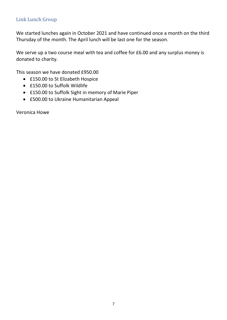# <span id="page-7-0"></span>Link Lunch Group

We started lunches again in October 2021 and have continued once a month on the third Thursday of the month. The April lunch will be last one for the season.

We serve up a two course meal with tea and coffee for £6.00 and any surplus money is donated to charity.

This season we have donated £950.00

- £150.00 to St Elizabeth Hospice
- £150.00 to Suffolk Wildlife
- £150.00 to Suffolk Sight in memory of Marie Piper
- £500.00 to Ukraine Humanitarian Appeal

Veronica Howe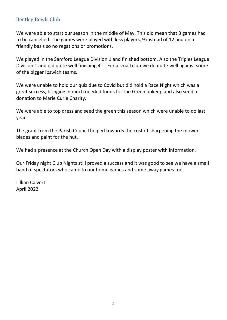# <span id="page-8-0"></span>Bentley Bowls Club

We were able to start our season in the middle of May. This did mean that 3 games had to be cancelled. The games were played with less players, 9 instead of 12 and on a friendly basis so no regations or promotions.

We played in the Samford League Division 1 and finished bottom. Also the Triples League Division 1 and did quite well finishing  $4<sup>th</sup>$ . For a small club we do quite well against some of the bigger Ipswich teams.

We were unable to hold our quiz due to Covid but did hold a Race Night which was a great success, bringing in much needed funds for the Green upkeep and also send a donation to Marie Curie Charity.

We were able to top dress and seed the green this season which were unable to do last year.

The grant from the Parish Council helped towards the cost of sharpening the mower blades and paint for the hut.

We had a presence at the Church Open Day with a display poster with information.

Our Friday night Club Nights still proved a success and it was good to see we have a small band of spectators who came to our home games and some away games too.

Lillian Calvert April 2022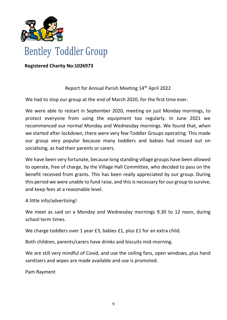

# **Bentley Toddler Group**

 **Registered Charity No:1026973**

#### Report for Annual Parish Meeting 14<sup>th</sup> April 2022

We had to stop our group at the end of March 2020, for the first time ever.

We were able to restart in September 2020, meeting on just Monday mornings, to protect everyone from using the equipment too regularly. In June 2021 we recommenced our normal Monday and Wednesday mornings. We found that, when we started after lockdown, there were very few Toddler Groups operating. This made our group very popular because many toddlers and babies had missed out on socialising, as had their parents or carers.

We have been very fortunate, because long standing village groups have been allowed to operate, free of charge, by the Village Hall Committee, who decided to pass on the benefit received from grants. This has been really appreciated by our group. During this period we were unable to fund raise, and this is necessary for our group to survive, and keep fees at a reasonable level.

A little info/advertising!

We meet as said on a Monday and Wednesday mornings 9.30 to 12 noon, during school term times.

We charge toddlers over 1 year £3, babies £1, plus £1 for an extra child.

Both children, parents/carers have drinks and biscuits mid-morning.

We are still very mindful of Covid, and use the ceiling fans, open windows, plus hand sanitisers and wipes are made available and use is promoted.

Pam Rayment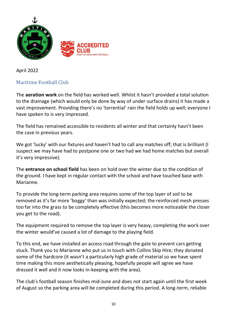

April 2022

# <span id="page-10-0"></span>Maritime Football Club

The **aeration work** on the field has worked well. Whilst it hasn't provided a total solution to the drainage (which would only be done by way of under-surface drains) it has made a vast improvement. Providing there's no 'torrential' rain the field holds up well; everyone I have spoken to is very impressed.

The field has remained accessible to residents all winter and that certainly hasn't been the case in previous years.

We got 'lucky' with our fixtures and haven't had to call any matches off; that is brilliant (I suspect we may have had to postpone one or two had we had home matches but overall it's very impressive).

The **entrance on school field** has been on hold over the winter due to the condition of the ground. I have kept in regular contact with the school and have touched base with Marianne.

To provide the long-term parking area requires some of the top layer of soil to be removed as it's far more 'boggy' than was initially expected; the reinforced mesh presses too far into the grass to be completely effective (this becomes more noticeable the closer you get to the road).

The equipment required to remove the top layer is very heavy, completing the work over the winter would've caused a lot of damage to the playing field.

To this end, we have installed an access road through the gate to prevent cars getting stuck. Thank you to Marianne who put us in touch with Collins Skip Hire; they donated some of the hardcore (it wasn't a particularly high grade of material so we have spent time making this more aesthetically pleasing, hopefully people will agree we have dressed it well and it now looks in-keeping with the area).

The club's football season finishes mid-June and does not start again until the first week of August so the parking area will be completed during this period. A long-term, reliable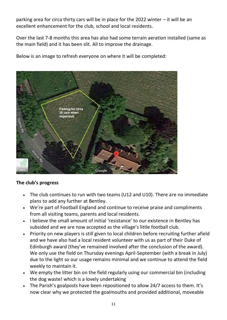parking area for circa thirty cars will be in place for the 2022 winter – it will be an excellent enhancement for the club, school and local residents.

Over the last 7-8 months this area has also had some terrain aeration installed (same as the main field) and it has been slit. All to improve the drainage.

Below is an image to refresh everyone on where it will be completed:



#### **The club's progress**

- The club continues to run with two teams (U12 and U10). There are no immediate plans to add any further at Bentley.
- We're part of Football England and continue to receive praise and compliments from all visiting teams, parents and local residents.
- I believe the small amount of initial 'resistance' to our existence in Bentley has subsided and we are now accepted as the village's little football club.
- Priority on new players is still given to local children before recruiting further afield and we have also had a local resident volunteer with us as part of their Duke of Edinburgh award (they've remained involved after the conclusion of the award). We only use the field on Thursday evenings April-September (with a break in July) due to the light so our usage remains minimal and we continue to attend the field weekly to maintain it.
- We empty the litter bin on the field regularly using our commercial bin (including the dog waste! which is a lovely undertaking
- The Parish's goalposts have been repositioned to allow 24/7 access to them. It's now clear why we protected the goalmouths and provided additional, moveable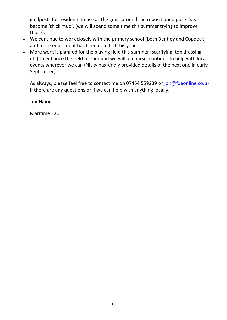goalposts for residents to use as the grass around the repositioned posts has become 'thick mud'. (we will spend some time this summer trying to improve those).

- We continue to work closely with the primary school (both Bentley and Copdock) and more equipment has been donated this year.
- More work is planned for the playing field this summer (scarifying, top dressing etc) to enhance the field further and we will of course, continue to help with local events wherever we can (Nicky has kindly provided details of the next one in early September).

As always, please feel free to contact me on 07464 559239 or jon@fdeonline.co.uk if there are any questions or if we can help with anything locally.

#### **Jon Haines**

Maritime F.C.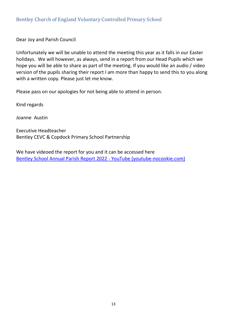<span id="page-13-0"></span>Dear Joy and Parish Council

Unfortunately we will be unable to attend the meeting this year as it falls in our Easter holidays. We will however, as always, send in a report from our Head Pupils which we hope you will be able to share as part of the meeting. If you would like an audio / video version of the pupils sharing their report I am more than happy to send this to you along with a written copy. Please just let me know.

Please pass on our apologies for not being able to attend in person.

Kind regards

Joanne Austin

Executive Headteacher Bentley CEVC & Copdock Primary School Partnership

We have videoed the report for you and it can be accessed here [Bentley School Annual Parish Report 2022 -](https://www.youtube-nocookie.com/embed/urF_8jnKbw8?playlist=urF_8jnKbw8&autoplay=1&iv_load_policy=3&loop=1&modestbranding=1&start=) YouTube (youtube-nocookie.com)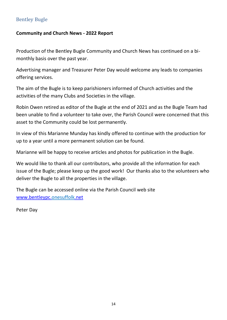# <span id="page-14-0"></span>Bentley Bugle

#### **Community and Church News - 2022 Report**

Production of the Bentley Bugle Community and Church News has continued on a bimonthly basis over the past year.

Advertising manager and Treasurer Peter Day would welcome any leads to companies offering services.

The aim of the Bugle is to keep parishioners informed of Church activities and the activities of the many Clubs and Societies in the village.

Robin Owen retired as editor of the Bugle at the end of 2021 and as the Bugle Team had been unable to find a volunteer to take over, the Parish Council were concerned that this asset to the Community could be lost permanently.

In view of this Marianne Munday has kindly offered to continue with the production for up to a year until a more permanent solution can be found.

Marianne will be happy to receive articles and photos for publication in the Bugle.

We would like to thank all our contributors, who provide all the information for each issue of the Bugle; please keep up the good work! Our thanks also to the volunteers who deliver the Bugle to all the properties in the village.

The Bugle can be accessed online via the Parish Council web site [www.bentleypc.onesuffolk.net](http://www.bentleypc.onesuffolk.net/) 

Peter Day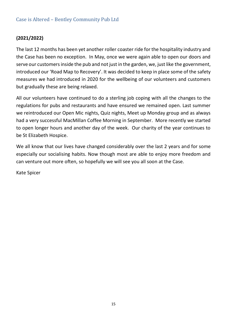# <span id="page-15-0"></span>Case is Altered – Bentley Community Pub Ltd

#### **(2021/2022)**

The last 12 months has been yet another roller coaster ride for the hospitality industry and the Case has been no exception. In May, once we were again able to open our doors and serve our customers inside the pub and not just in the garden, we, just like the government, introduced our 'Road Map to Recovery'. It was decided to keep in place some of the safety measures we had introduced in 2020 for the wellbeing of our volunteers and customers but gradually these are being relaxed.

All our volunteers have continued to do a sterling job coping with all the changes to the regulations for pubs and restaurants and have ensured we remained open. Last summer we reintroduced our Open Mic nights, Quiz nights, Meet up Monday group and as always had a very successful MacMillan Coffee Morning in September. More recently we started to open longer hours and another day of the week. Our charity of the year continues to be St Elizabeth Hospice.

We all know that our lives have changed considerably over the last 2 years and for some especially our socialising habits. Now though most are able to enjoy more freedom and can venture out more often, so hopefully we will see you all soon at the Case.

Kate Spicer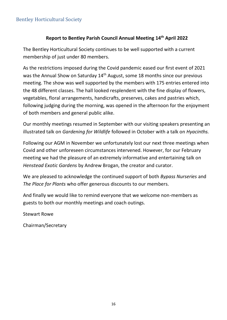# <span id="page-16-0"></span>Bentley Horticultural Society

#### **Report to Bentley Parish Council Annual Meeting 14th April 2022**

The Bentley Horticultural Society continues to be well supported with a current membership of just under 80 members.

As the restrictions imposed during the Covid pandemic eased our first event of 2021 was the Annual Show on Saturday 14<sup>th</sup> August, some 18 months since our previous meeting. The show was well supported by the members with 175 entries entered into the 48 different classes. The hall looked resplendent with the fine display of flowers, vegetables, floral arrangements, handicrafts, preserves, cakes and pastries which, following judging during the morning, was opened in the afternoon for the enjoyment of both members and general public alike.

Our monthly meetings resumed in September with our visiting speakers presenting an illustrated talk on *Gardening for Wildlife* followed in October with a talk on *Hyacinths.*

Following our AGM in November we unfortunately lost our next three meetings when Covid and other unforeseen circumstances intervened. However, for our February meeting we had the pleasure of an extremely informative and entertaining talk on *Henstead Exotic Gardens* by Andrew Brogan, the creator and curator.

We are pleased to acknowledge the continued support of both *Bypass Nurseries* and *The Place for Plants* who offer generous discounts to our members.

And finally we would like to remind everyone that we welcome non-members as guests to both our monthly meetings and coach outings.

Stewart Rowe

Chairman/Secretary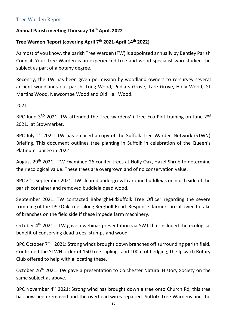# <span id="page-17-0"></span>Tree Warden Report

#### **Annual Parish meeting Thursday 14th April, 2022**

#### **Tree Warden Report (covering April 7th 2021-April 14th 2022)**

As most of you know, the parish Tree Warden (TW) is appointed annually by Bentley Parish Council. Your Tree Warden is an experienced tree and wood specialist who studied the subject as part of a botany degree.

Recently, the TW has been given permission by woodland owners to re-survey several ancient woodlands our parish: Long Wood, Pedlars Grove, Tare Grove, Holly Wood, Gt Martins Wood, Newcombe Wood and Old Hall Wood.

#### 2021

BPC June 3<sup>RD</sup> 2021: TW attended the Tree wardens' i-Tree Eco Plot training on June 2<sup>nd</sup> 2021. at Stowmarket.

BPC July  $1<sup>st</sup>$  2021: TW has emailed a copy of the Suffolk Tree Warden Network (STWN) Briefing. This document outlines tree planting in Suffolk in celebration of the Queen's Platinum Jubilee in 2022

August 29<sup>th</sup> 2021: TW Examined 26 conifer trees at Holly Oak, Hazel Shrub to determine their ecological value. These trees are overgrown and of no conservation value.

BPC 2<sup>nd</sup> September 2021: TW cleared undergrowth around buddleias on north side of the parish container and removed buddleia dead wood.

September 2021: TW contacted BaberghMidSuffolk Tree Officer regarding the severe trimming of the TPO Oak trees along Bergholt Road. Response: farmers are allowed to take of branches on the field side if these impede farm machinery.

October 4<sup>th</sup> 2021: TW gave a webinar presentation via SWT that included the ecological benefit of conserving dead trees, stumps and wood.

BPC October 7<sup>th</sup> 2021: Strong winds brought down branches off surrounding parish field. Confirmed the STWN order of 150 tree saplings and 100m of hedging; the Ipswich Rotary Club offered to help with allocating these.

October 26<sup>th</sup> 2021: TW gave a presentation to Colchester Natural History Society on the same subject as above.

BPC November 4<sup>th</sup> 2021: Strong wind has brought down a tree onto Church Rd, this tree has now been removed and the overhead wires repaired. Suffolk Tree Wardens and the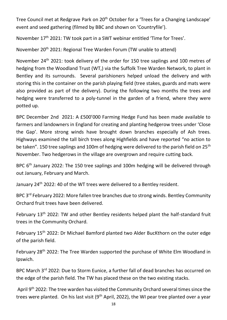Tree Council met at Redgrave Park on 20<sup>th</sup> October for a 'Trees for a Changing Landscape' event and seed gathering (filmed by BBC and shown on 'Countryfile').

November 17<sup>th</sup> 2021: TW took part in a SWT webinar entitled 'Time for Trees'.

November 20th 2021: Regional Tree Warden Forum (TW unable to attend)

November 24<sup>th</sup> 2021: took delivery of the order for 150 tree saplings and 100 metres of hedging from the Woodland Trust (WT,) via the Suffolk Tree Warden Network, to plant in Bentley and its surrounds. Several parishioners helped unload the delivery and with storing this in the container on the parish playing field (tree stakes, guards and mats were also provided as part of the delivery). During the following two months the trees and hedging were transferred to a poly-tunnel in the garden of a friend, where they were potted up.

BPC December 2nd 2021: A £500'000 Farming Hedge Fund has been made available to farmers and landowners in England for creating and planting hedgerow trees under 'Close the Gap'. More strong winds have brought down branches especially of Ash trees. Highways examined the tall birch trees along Highfields and have reported "no action to be taken". 150 tree saplings and 100m of hedging were delivered to the parish field on 25<sup>th</sup> November. Two hedgerows in the village are overgrown and require cutting back.

BPC 6<sup>th</sup> January 2022: The 150 tree saplings and 100m hedging will be delivered through out January, February and March.

January 24<sup>th</sup> 2022: 40 of the WT trees were delivered to a Bentley resident.

BPC 3<sup>rd</sup> February 2022: More fallen tree branches due to strong winds. Bentley Community Orchard fruit trees have been delivered.

February 13<sup>th</sup> 2022: TW and other Bentley residents helped plant the half-standard fruit trees in the Community Orchard.

February 15<sup>th</sup> 2022: Dr Michael Bamford planted two Alder BucKthorn on the outer edge of the parish field.

February 28<sup>th</sup> 2022: The Tree Warden supported the purchase of White Elm Woodland in Ipswich.

BPC March 3<sup>rd</sup> 2022: Due to Storm Eunice, a further fall of dead branches has occurred on the edge of the parish field. The TW has placed these on the two existing stacks.

April 9<sup>th</sup> 2022: The tree warden has visited the Community Orchard several times since the trees were planted. On his last visit ( $9<sup>th</sup>$  April, 2022), the WI pear tree planted over a year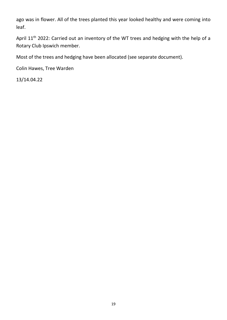ago was in flower. All of the trees planted this year looked healthy and were coming into leaf.

April 11<sup>th</sup> 2022: Carried out an inventory of the WT trees and hedging with the help of a Rotary Club Ipswich member.

Most of the trees and hedging have been allocated (see separate document).

Colin Hawes, Tree Warden

13/14.04.22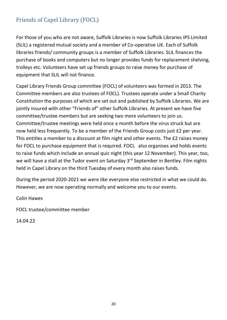# <span id="page-20-0"></span>Friends of Capel Library (FOCL)

For those of you who are not aware, Suffolk Libraries is now Suffolk Libraries IPS Limited (SLIL) a registered mutual society and a member of Co-operative UK. Each of Suffolk libraries friends/ community groups is a member of Suffolk Libraries. SLIL finances the purchase of books and computers but no longer provides funds for replacement shelving, trolleys etc. Volunteers have set up friends groups to raise money for purchase of equipment that SLIL will not finance.

Capel Library Friends Group committee (FOCL) of volunteers was formed in 2013. The Committee members are also trustees of FOCL). Trustees operate under a Small Charity Constitution the purposes of which are set out and published by Suffolk Libraries. We are jointly insured with other "Friends of" other Suffolk Libraries. At present we have five committee/trustee members but are seeking two more volunteers to join us. Committee/trustee meetings were held once a month before the virus struck but are now held less frequently. To be a member of the Friends Group costs just £2 per year. This entitles a member to a discount at film night and other events. The £2 raises money for FOCL to purchase equipment that is required. FOCL also organises and holds events to raise funds which include an annual quiz night (this year 12 November). This year, too, we will have a stall at the Tudor event on Saturday 3<sup>rd</sup> September in Bentley. Film nights held in Capel Library on the third Tuesday of every month also raises funds.

During the period 2020-2021 we were like everyone else restricted in what we could do. However, we are now operating normally and welcome you to our events.

Colin Hawes

FOCL trustee/committee member

14.04.22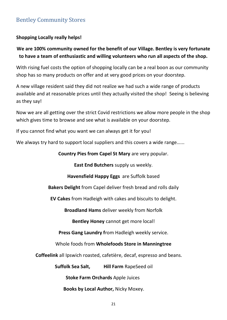# <span id="page-21-0"></span>Bentley Community Stores

#### **Shopping Locally really helps!**

# **We are 100% community owned for the benefit of our Village. Bentley is very fortunate to have a team of enthusiastic and willing volunteers who run all aspects of the shop.**

With rising fuel costs the option of shopping locally can be a real boon as our community shop has so many products on offer and at very good prices on your doorstep.

A new village resident said they did not realize we had such a wide range of products available and at reasonable prices until they actually visited the shop! Seeing is believing as they say!

Now we are all getting over the strict Covid restrictions we allow more people in the shop which gives time to browse and see what is available on your doorstep.

If you cannot find what you want we can always get it for you!

We always try hard to support local suppliers and this covers a wide range......

**Country Pies from Capel St Mary** are very popular.

**East End Butchers** supply us weekly.

**Havensfield Happy Eggs** are Suffolk based

**Bakers Delight** from Capel deliver fresh bread and rolls daily

**EV Cakes** from Hadleigh with cakes and biscuits to delight.

**Broadland Hams** deliver weekly from Norfolk

**Bentley Honey** cannot get more local!

**Press Gang Laundry f**rom Hadleigh weekly service.

Whole foods from **Wholefoods Store in Manningtree**

**Coffeelink** all Ipswich roasted, cafetière, decaf, espresso and beans.

**Suffolk Sea Salt, Hill Farm** RapeSeed oil

**Stoke Farm Orchards** Apple Juices

**Books by Local Author,** Nicky Moxey.